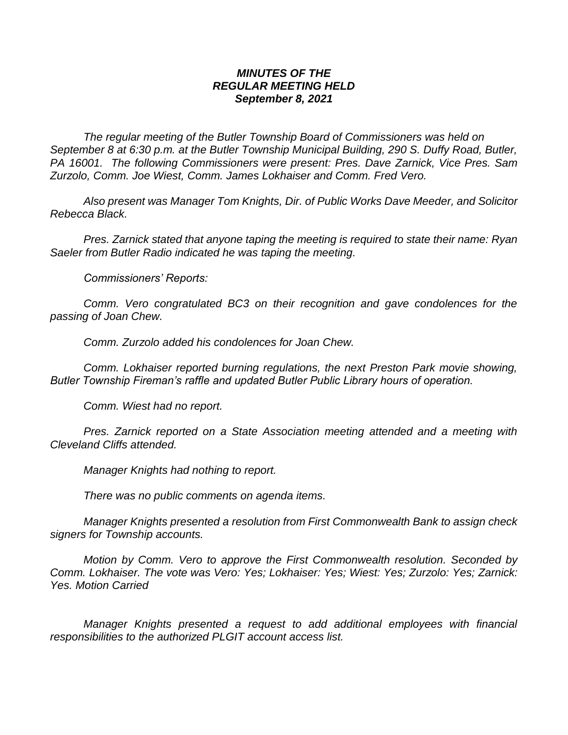## *MINUTES OF THE REGULAR MEETING HELD September 8, 2021*

*The regular meeting of the Butler Township Board of Commissioners was held on September 8 at 6:30 p.m. at the Butler Township Municipal Building, 290 S. Duffy Road, Butler, PA 16001. The following Commissioners were present: Pres. Dave Zarnick, Vice Pres. Sam Zurzolo, Comm. Joe Wiest, Comm. James Lokhaiser and Comm. Fred Vero.*

*Also present was Manager Tom Knights, Dir. of Public Works Dave Meeder, and Solicitor Rebecca Black.*

*Pres. Zarnick stated that anyone taping the meeting is required to state their name: Ryan Saeler from Butler Radio indicated he was taping the meeting.*

*Commissioners' Reports:*

*Comm. Vero congratulated BC3 on their recognition and gave condolences for the passing of Joan Chew.*

*Comm. Zurzolo added his condolences for Joan Chew.*

*Comm. Lokhaiser reported burning regulations, the next Preston Park movie showing, Butler Township Fireman's raffle and updated Butler Public Library hours of operation.*

*Comm. Wiest had no report.*

*Pres. Zarnick reported on a State Association meeting attended and a meeting with Cleveland Cliffs attended.*

*Manager Knights had nothing to report.*

*There was no public comments on agenda items.*

*Manager Knights presented a resolution from First Commonwealth Bank to assign check signers for Township accounts.*

*Motion by Comm. Vero to approve the First Commonwealth resolution. Seconded by Comm. Lokhaiser. The vote was Vero: Yes; Lokhaiser: Yes; Wiest: Yes; Zurzolo: Yes; Zarnick: Yes. Motion Carried*

*Manager Knights presented a request to add additional employees with financial responsibilities to the authorized PLGIT account access list.*